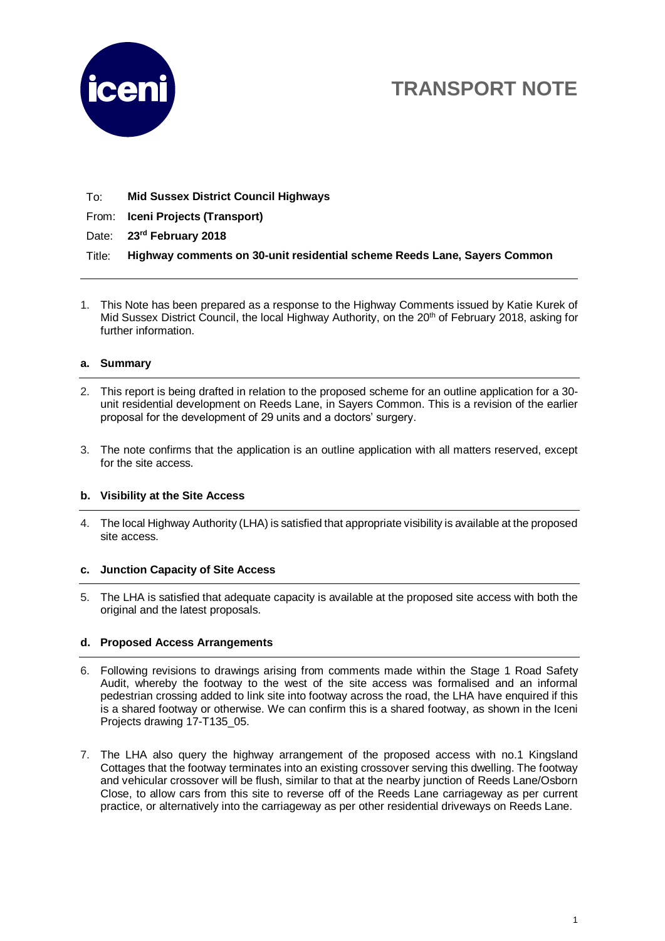

# **TRANSPORT NOTE**

To: **Mid Sussex District Council Highways**

From: **Iceni Projects (Transport)**

Date: **23rd February 2018**

Title: **Highway comments on 30-unit residential scheme Reeds Lane, Sayers Common**

1. This Note has been prepared as a response to the Highway Comments issued by Katie Kurek of Mid Sussex District Council, the local Highway Authority, on the 20<sup>th</sup> of February 2018, asking for further information.

## **a. Summary**

- 2. This report is being drafted in relation to the proposed scheme for an outline application for a 30 unit residential development on Reeds Lane, in Sayers Common. This is a revision of the earlier proposal for the development of 29 units and a doctors' surgery.
- 3. The note confirms that the application is an outline application with all matters reserved, except for the site access.

#### **b. Visibility at the Site Access**

4. The local Highway Authority (LHA) is satisfied that appropriate visibility is available at the proposed site access.

### **c. Junction Capacity of Site Access**

5. The LHA is satisfied that adequate capacity is available at the proposed site access with both the original and the latest proposals.

## **d. Proposed Access Arrangements**

- 6. Following revisions to drawings arising from comments made within the Stage 1 Road Safety Audit, whereby the footway to the west of the site access was formalised and an informal pedestrian crossing added to link site into footway across the road, the LHA have enquired if this is a shared footway or otherwise. We can confirm this is a shared footway, as shown in the Iceni Projects drawing 17-T135\_05.
- 7. The LHA also query the highway arrangement of the proposed access with no.1 Kingsland Cottages that the footway terminates into an existing crossover serving this dwelling. The footway and vehicular crossover will be flush, similar to that at the nearby junction of Reeds Lane/Osborn Close, to allow cars from this site to reverse off of the Reeds Lane carriageway as per current practice, or alternatively into the carriageway as per other residential driveways on Reeds Lane.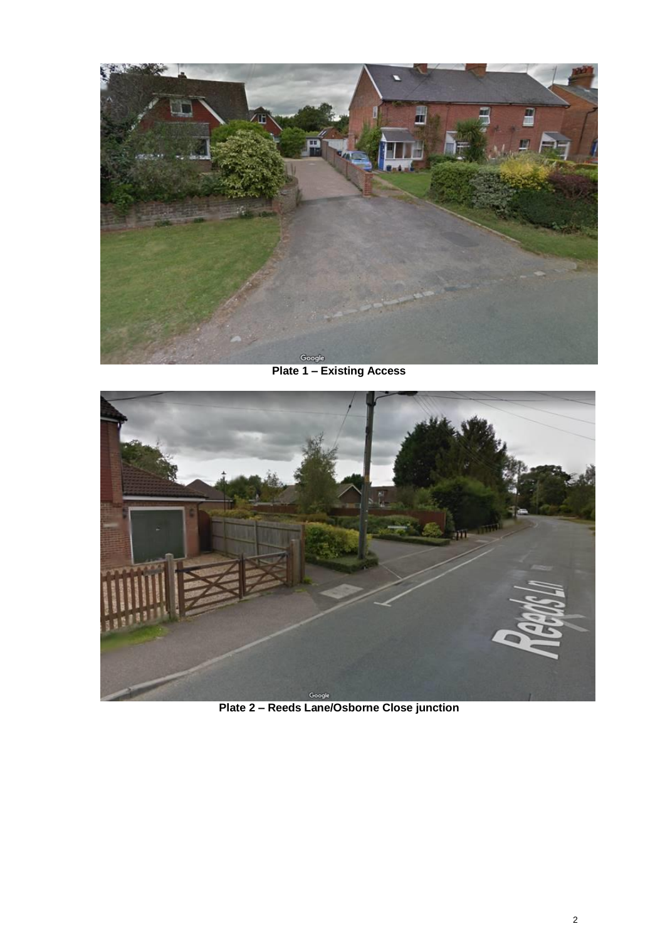

**Plate 1 – Existing Access**



**Plate 2 – Reeds Lane/Osborne Close junction**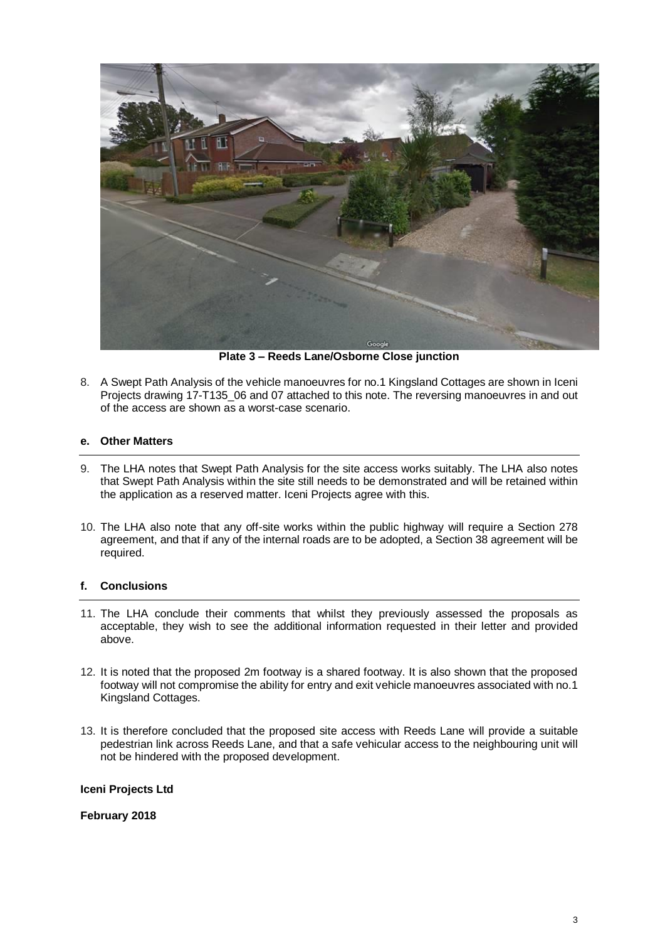

**Plate 3 – Reeds Lane/Osborne Close junction**

8. A Swept Path Analysis of the vehicle manoeuvres for no.1 Kingsland Cottages are shown in Iceni Projects drawing 17-T135\_06 and 07 attached to this note. The reversing manoeuvres in and out of the access are shown as a worst-case scenario.

#### **e. Other Matters**

- 9. The LHA notes that Swept Path Analysis for the site access works suitably. The LHA also notes that Swept Path Analysis within the site still needs to be demonstrated and will be retained within the application as a reserved matter. Iceni Projects agree with this.
- 10. The LHA also note that any off-site works within the public highway will require a Section 278 agreement, and that if any of the internal roads are to be adopted, a Section 38 agreement will be required.

#### **f. Conclusions**

- 11. The LHA conclude their comments that whilst they previously assessed the proposals as acceptable, they wish to see the additional information requested in their letter and provided above.
- 12. It is noted that the proposed 2m footway is a shared footway. It is also shown that the proposed footway will not compromise the ability for entry and exit vehicle manoeuvres associated with no.1 Kingsland Cottages.
- 13. It is therefore concluded that the proposed site access with Reeds Lane will provide a suitable pedestrian link across Reeds Lane, and that a safe vehicular access to the neighbouring unit will not be hindered with the proposed development.

#### **Iceni Projects Ltd**

**February 2018**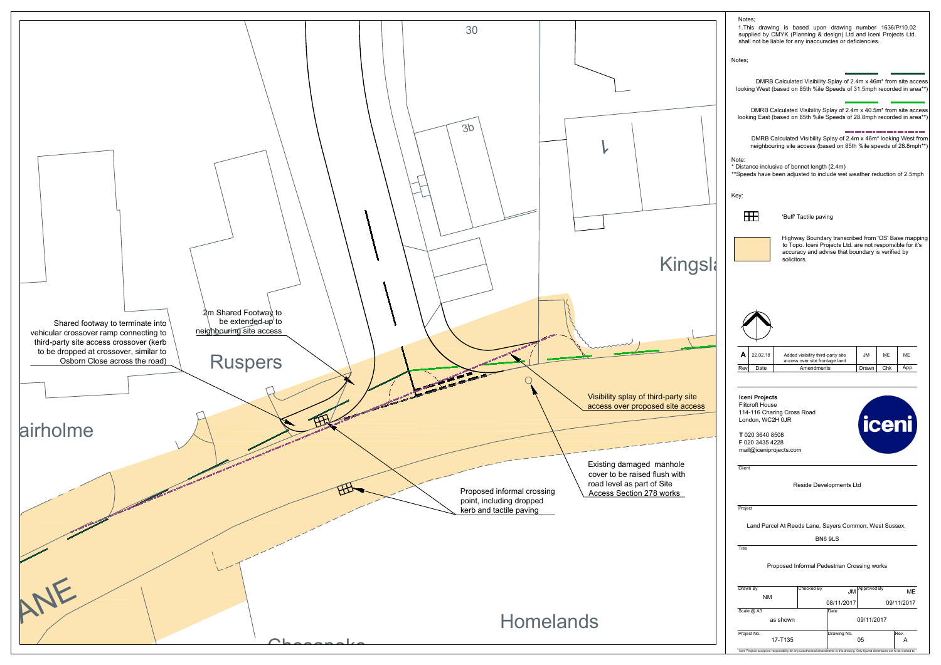

| Drawn By<br>NM | Checked By |             | $JM$ <sup>Approved By</sup> | ME         |
|----------------|------------|-------------|-----------------------------|------------|
|                |            | 08/11/2017  |                             | 09/11/2017 |
| Scale @ A3     |            | Date        |                             |            |
| as shown       |            |             | 09/11/2017                  |            |
| Project No.    |            | Drawing No. |                             | Rev.       |
| 17-T135        |            |             | 05                          | A          |

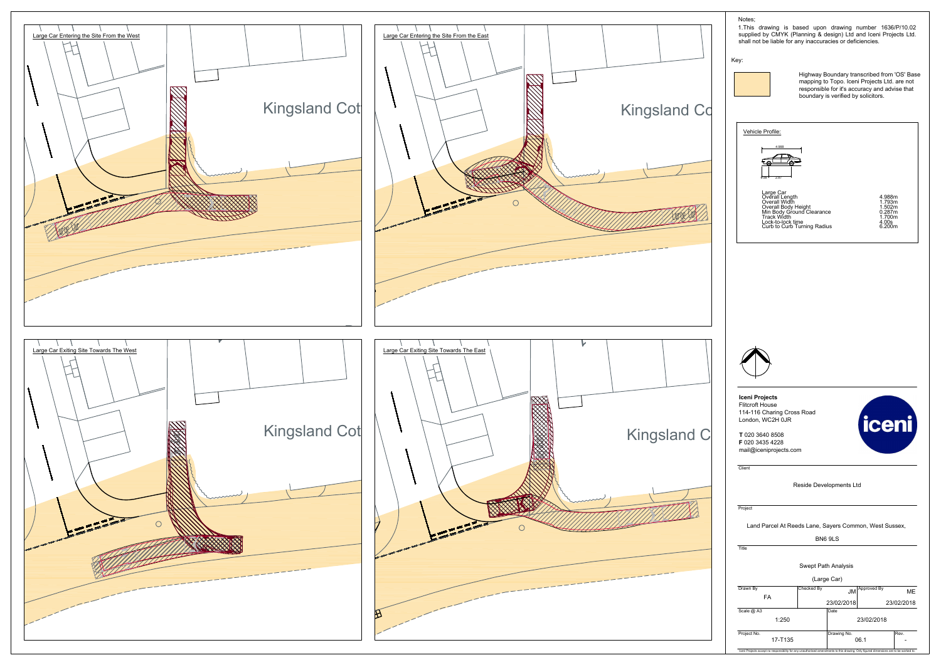

1.This drawing is based upon drawing number 1636/P/10.02 supplied by CMYK (Planning & design) Ltd and Iceni Projects Ltd. shall not be liable for any inaccuracies or deficiencies.

**Iceni Projects** Flitcroft House 114-116 Charing Cross Road London, WC2H 0JR

#### Notes;

Iceni Projects accept no responsibility for any unauthorised amendments to this drawing. Only figured dimensions are to be worked to.

Client

**T** 020 3640 8508 **F** 020 3435 4228 mail@iceniprojects.com

|             |                          |                     | BN6 9LS     |             |           |  |
|-------------|--------------------------|---------------------|-------------|-------------|-----------|--|
| Title       |                          |                     |             |             |           |  |
|             |                          | Swept Path Analysis |             |             |           |  |
|             |                          |                     | (Large Car) |             |           |  |
| Drawn By    |                          | Checked By          | <b>JM</b>   | Approved By | <b>ME</b> |  |
| <b>FA</b>   | 23/02/2018<br>23/02/2018 |                     |             |             |           |  |
| Scale @ A3  |                          |                     | Date        |             |           |  |
|             | 1:250                    |                     | 23/02/2018  |             |           |  |
| Project No. |                          |                     | Drawing No. |             | Rev.      |  |
|             | 17-T135                  |                     | 06.1        |             |           |  |

Reside Developments Ltd

**Project** 

Land Parcel At Reeds Lane, Sayers Common, West Sussex,

Key:



Highway Boundary transcribed from 'OS' Base mapping to Topo. Iceni Projects Ltd. are not responsible for it's accuracy and advise that boundary is verified by solicitors.



Large Car Overall Length<br>Overall Length<br>Overall Body Height<br>Min Body Ground Clearance 1.502m<br>Min Body Ground Clearance 1.700m<br>Lock-to-Cock time 4.00s<br>Curb to Curb Turning Radius 4.200m<br>Curb to Curb Turning Radius 4.200m



**icer** 



Vehicle Profile: